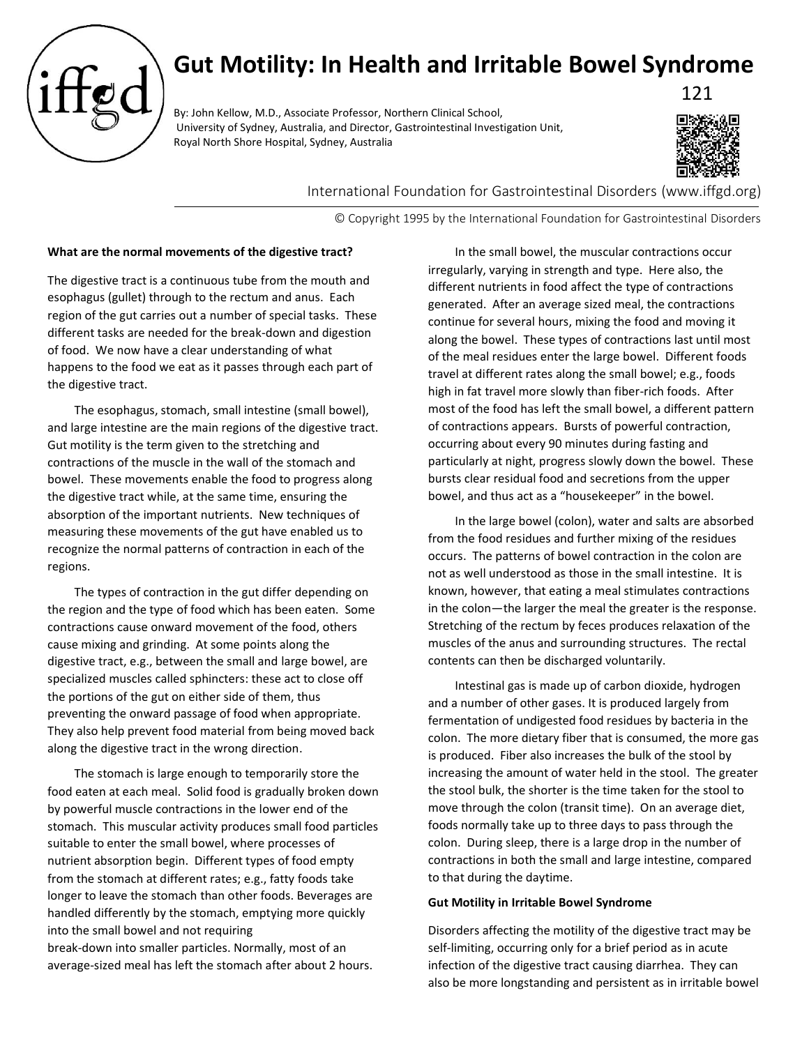

# **Gut Motility: In Health and Irritable Bowel Syndrome**

By: John Kellow, M.D., Associate Professor, Northern Clinical School, University of Sydney, Australia, and Director, Gastrointestinal Investigation Unit, Royal North Shore Hospital, Sydney, Australia



121

International Foundation for Gastrointestinal Disorders (www.iffgd.org)

© Copyright 1995 by the International Foundation for Gastrointestinal Disorders

## **What are the normal movements of the digestive tract?**

The digestive tract is a continuous tube from the mouth and esophagus (gullet) through to the rectum and anus. Each region of the gut carries out a number of special tasks. These different tasks are needed for the break-down and digestion of food. We now have a clear understanding of what happens to the food we eat as it passes through each part of the digestive tract.

The esophagus, stomach, small intestine (small bowel), and large intestine are the main regions of the digestive tract. Gut motility is the term given to the stretching and contractions of the muscle in the wall of the stomach and bowel. These movements enable the food to progress along the digestive tract while, at the same time, ensuring the absorption of the important nutrients. New techniques of measuring these movements of the gut have enabled us to recognize the normal patterns of contraction in each of the regions.

The types of contraction in the gut differ depending on the region and the type of food which has been eaten. Some contractions cause onward movement of the food, others cause mixing and grinding. At some points along the digestive tract, e.g., between the small and large bowel, are specialized muscles called sphincters: these act to close off the portions of the gut on either side of them, thus preventing the onward passage of food when appropriate. They also help prevent food material from being moved back along the digestive tract in the wrong direction.

The stomach is large enough to temporarily store the food eaten at each meal. Solid food is gradually broken down by powerful muscle contractions in the lower end of the stomach. This muscular activity produces small food particles suitable to enter the small bowel, where processes of nutrient absorption begin. Different types of food empty from the stomach at different rates; e.g., fatty foods take longer to leave the stomach than other foods. Beverages are handled differently by the stomach, emptying more quickly into the small bowel and not requiring break-down into smaller particles. Normally, most of an average-sized meal has left the stomach after about 2 hours.

In the small bowel, the muscular contractions occur irregularly, varying in strength and type. Here also, the different nutrients in food affect the type of contractions generated. After an average sized meal, the contractions continue for several hours, mixing the food and moving it along the bowel. These types of contractions last until most of the meal residues enter the large bowel. Different foods travel at different rates along the small bowel; e.g., foods high in fat travel more slowly than fiber-rich foods. After most of the food has left the small bowel, a different pattern of contractions appears. Bursts of powerful contraction, occurring about every 90 minutes during fasting and particularly at night, progress slowly down the bowel. These bursts clear residual food and secretions from the upper bowel, and thus act as a "housekeeper" in the bowel.

In the large bowel (colon), water and salts are absorbed from the food residues and further mixing of the residues occurs. The patterns of bowel contraction in the colon are not as well understood as those in the small intestine. It is known, however, that eating a meal stimulates contractions in the colon—the larger the meal the greater is the response. Stretching of the rectum by feces produces relaxation of the muscles of the anus and surrounding structures. The rectal contents can then be discharged voluntarily.

Intestinal gas is made up of carbon dioxide, hydrogen and a number of other gases. It is produced largely from fermentation of undigested food residues by bacteria in the colon. The more dietary fiber that is consumed, the more gas is produced. Fiber also increases the bulk of the stool by increasing the amount of water held in the stool. The greater the stool bulk, the shorter is the time taken for the stool to move through the colon (transit time). On an average diet, foods normally take up to three days to pass through the colon. During sleep, there is a large drop in the number of contractions in both the small and large intestine, compared to that during the daytime.

### **Gut Motility in Irritable Bowel Syndrome**

Disorders affecting the motility of the digestive tract may be self-limiting, occurring only for a brief period as in acute infection of the digestive tract causing diarrhea. They can also be more longstanding and persistent as in irritable bowel